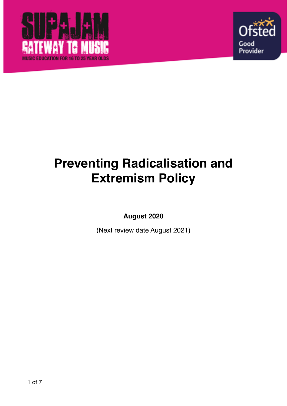



# **Preventing Radicalisation and Extremism Policy**

**August 2020** 

(Next review date August 2021)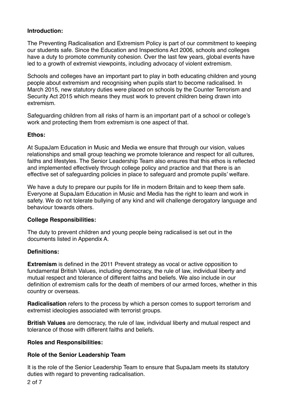# **Introduction:**

The Preventing Radicalisation and Extremism Policy is part of our commitment to keeping our students safe. Since the Education and Inspections Act 2006, schools and colleges have a duty to promote community cohesion. Over the last few years, global events have led to a growth of extremist viewpoints, including advocacy of violent extremism.

Schools and colleges have an important part to play in both educating children and young people about extremism and recognising when pupils start to become radicalised. In March 2015, new statutory duties were placed on schools by the Counter Terrorism and Security Act 2015 which means they must work to prevent children being drawn into extremism.

Safeguarding children from all risks of harm is an important part of a school or college's work and protecting them from extremism is one aspect of that.

# **Ethos:**

At SupaJam Education in Music and Media we ensure that through our vision, values relationships and small group teaching we promote tolerance and respect for all cultures, faiths and lifestyles. The Senior Leadership Team also ensures that this ethos is reflected and implemented effectively through college policy and practice and that there is an effective set of safeguarding policies in place to safeguard and promote pupils' welfare.

We have a duty to prepare our pupils for life in modern Britain and to keep them safe. Everyone at SupaJam Education in Music and Media has the right to learn and work in safety. We do not tolerate bullying of any kind and will challenge derogatory language and behaviour towards others.

# **College Responsibilities:**

The duty to prevent children and young people being radicalised is set out in the documents listed in Appendix A.

#### **Definitions:**

**Extremism** is defined in the 2011 Prevent strategy as vocal or active opposition to fundamental British Values, including democracy, the rule of law, individual liberty and mutual respect and tolerance of different faiths and beliefs. We also include in our definition of extremism calls for the death of members of our armed forces, whether in this country or overseas.

**Radicalisation** refers to the process by which a person comes to support terrorism and extremist ideologies associated with terrorist groups.

**British Values** are democracy, the rule of law, individual liberty and mutual respect and tolerance of those with different faiths and beliefs.

#### **Roles and Responsibilities:**

#### **Role of the Senior Leadership Team**

It is the role of the Senior Leadership Team to ensure that SupaJam meets its statutory duties with regard to preventing radicalisation.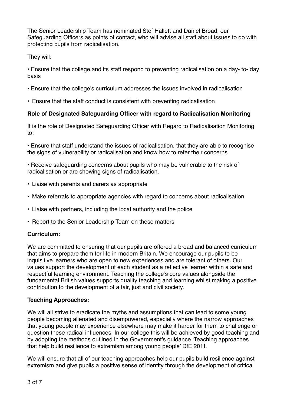The Senior Leadership Team has nominated Stef Hallett and Daniel Broad, our Safeguarding Officers as points of contact, who will advise all staff about issues to do with protecting pupils from radicalisation.

# They will:

• Ensure that the college and its staff respond to preventing radicalisation on a day- to- day basis

- Ensure that the college's curriculum addresses the issues involved in radicalisation
- Ensure that the staff conduct is consistent with preventing radicalisation

# **Role of Designated Safeguarding Officer with regard to Radicalisation Monitoring**

It is the role of Designated Safeguarding Officer with Regard to Radicalisation Monitoring to:

• Ensure that staff understand the issues of radicalisation, that they are able to recognise the signs of vulnerability or radicalisation and know how to refer their concerns

• Receive safeguarding concerns about pupils who may be vulnerable to the risk of radicalisation or are showing signs of radicalisation.

- Liaise with parents and carers as appropriate
- Make referrals to appropriate agencies with regard to concerns about radicalisation
- Liaise with partners, including the local authority and the police
- Report to the Senior Leadership Team on these matters

# **Curriculum:**

We are committed to ensuring that our pupils are offered a broad and balanced curriculum that aims to prepare them for life in modern Britain. We encourage our pupils to be inquisitive learners who are open to new experiences and are tolerant of others. Our values support the development of each student as a reflective learner within a safe and respectful learning environment. Teaching the college's core values alongside the fundamental British values supports quality teaching and learning whilst making a positive contribution to the development of a fair, just and civil society.

# **Teaching Approaches:**

We will all strive to eradicate the myths and assumptions that can lead to some young people becoming alienated and disempowered, especially where the narrow approaches that young people may experience elsewhere may make it harder for them to challenge or question these radical influences. In our college this will be achieved by good teaching and by adopting the methods outlined in the Government's guidance 'Teaching approaches that help build resilience to extremism among young people' DfE 2011.

We will ensure that all of our teaching approaches help our pupils build resilience against extremism and give pupils a positive sense of identity through the development of critical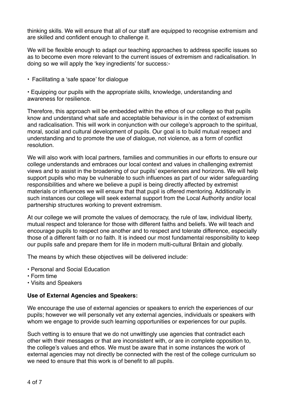thinking skills. We will ensure that all of our staff are equipped to recognise extremism and are skilled and confident enough to challenge it.

We will be flexible enough to adapt our teaching approaches to address specific issues so as to become even more relevant to the current issues of extremism and radicalisation. In doing so we will apply the 'key ingredients' for success:-

• Facilitating a 'safe space' for dialogue

• Equipping our pupils with the appropriate skills, knowledge, understanding and awareness for resilience.

Therefore, this approach will be embedded within the ethos of our college so that pupils know and understand what safe and acceptable behaviour is in the context of extremism and radicalisation. This will work in conjunction with our college's approach to the spiritual, moral, social and cultural development of pupils. Our goal is to build mutual respect and understanding and to promote the use of dialogue, not violence, as a form of conflict resolution.

We will also work with local partners, families and communities in our efforts to ensure our college understands and embraces our local context and values in challenging extremist views and to assist in the broadening of our pupils' experiences and horizons. We will help support pupils who may be vulnerable to such influences as part of our wider safeguarding responsibilities and where we believe a pupil is being directly affected by extremist materials or influences we will ensure that that pupil is offered mentoring. Additionally in such instances our college will seek external support from the Local Authority and/or local partnership structures working to prevent extremism.

At our college we will promote the values of democracy, the rule of law, individual liberty, mutual respect and tolerance for those with different faiths and beliefs. We will teach and encourage pupils to respect one another and to respect and tolerate difference, especially those of a different faith or no faith. It is indeed our most fundamental responsibility to keep our pupils safe and prepare them for life in modern multi-cultural Britain and globally.

The means by which these objectives will be delivered include:

- Personal and Social Education
- Form time
- Visits and Speakers

#### **Use of External Agencies and Speakers:**

We encourage the use of external agencies or speakers to enrich the experiences of our pupils; however we will personally vet any external agencies, individuals or speakers with whom we engage to provide such learning opportunities or experiences for our pupils.

Such vetting is to ensure that we do not unwittingly use agencies that contradict each other with their messages or that are inconsistent with, or are in complete opposition to, the college's values and ethos. We must be aware that in some instances the work of external agencies may not directly be connected with the rest of the college curriculum so we need to ensure that this work is of benefit to all pupils.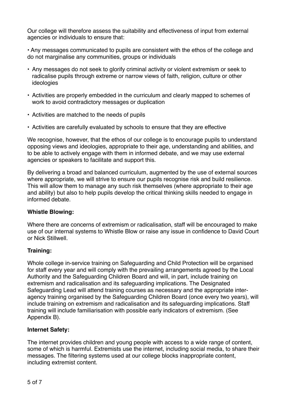Our college will therefore assess the suitability and effectiveness of input from external agencies or individuals to ensure that:

• Any messages communicated to pupils are consistent with the ethos of the college and do not marginalise any communities, groups or individuals

- Any messages do not seek to glorify criminal activity or violent extremism or seek to radicalise pupils through extreme or narrow views of faith, religion, culture or other ideologies
- Activities are properly embedded in the curriculum and clearly mapped to schemes of work to avoid contradictory messages or duplication
- Activities are matched to the needs of pupils
- Activities are carefully evaluated by schools to ensure that they are effective

We recognise, however, that the ethos of our college is to encourage pupils to understand opposing views and ideologies, appropriate to their age, understanding and abilities, and to be able to actively engage with them in informed debate, and we may use external agencies or speakers to facilitate and support this.

By delivering a broad and balanced curriculum, augmented by the use of external sources where appropriate, we will strive to ensure our pupils recognise risk and build resilience. This will allow them to manage any such risk themselves (where appropriate to their age and ability) but also to help pupils develop the critical thinking skills needed to engage in informed debate.

#### **Whistle Blowing:**

Where there are concerns of extremism or radicalisation, staff will be encouraged to make use of our internal systems to Whistle Blow or raise any issue in confidence to David Court or Nick Stillwell.

# **Training:**

Whole college in-service training on Safeguarding and Child Protection will be organised for staff every year and will comply with the prevailing arrangements agreed by the Local Authority and the Safeguarding Children Board and will, in part, include training on extremism and radicalisation and its safeguarding implications. The Designated Safeguarding Lead will attend training courses as necessary and the appropriate interagency training organised by the Safeguarding Children Board (once every two years), will include training on extremism and radicalisation and its safeguarding implications. Staff training will include familiarisation with possible early indicators of extremism. (See Appendix B).

# **Internet Safety:**

The internet provides children and young people with access to a wide range of content, some of which is harmful. Extremists use the internet, including social media, to share their messages. The filtering systems used at our college blocks inappropriate content, including extremist content.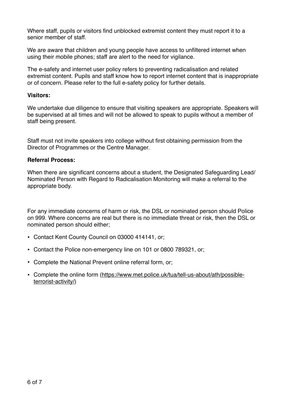Where staff, pupils or visitors find unblocked extremist content they must report it to a senior member of staff.

We are aware that children and young people have access to unfiltered internet when using their mobile phones; staff are alert to the need for vigilance.

The e-safety and internet user policy refers to preventing radicalisation and related extremist content. Pupils and staff know how to report internet content that is inappropriate or of concern. Please refer to the full e-safety policy for further details.

#### **Visitors:**

We undertake due diligence to ensure that visiting speakers are appropriate. Speakers will be supervised at all times and will not be allowed to speak to pupils without a member of staff being present.

Staff must not invite speakers into college without first obtaining permission from the Director of Programmes or the Centre Manager.

#### **Referral Process:**

When there are significant concerns about a student, the Designated Safeguarding Lead/ Nominated Person with Regard to Radicalisation Monitoring will make a referral to the appropriate body.

For any immediate concerns of harm or risk, the DSL or nominated person should Police on 999. Where concerns are real but there is no immediate threat or risk, then the DSL or nominated person should either;

- Contact Kent County Council on 03000 414141, or;
- Contact the Police non-emergency line on 101 or 0800 789321, or;
- Complete the National Prevent online referral form, or;
- Complete the online form [\(https://www.met.police.uk/tua/tell-us-about/ath/possible](https://www.met.police.uk/tua/tell-us-about/ath/possible-terrorist-activity/)[terrorist-activity/](https://www.met.police.uk/tua/tell-us-about/ath/possible-terrorist-activity/))